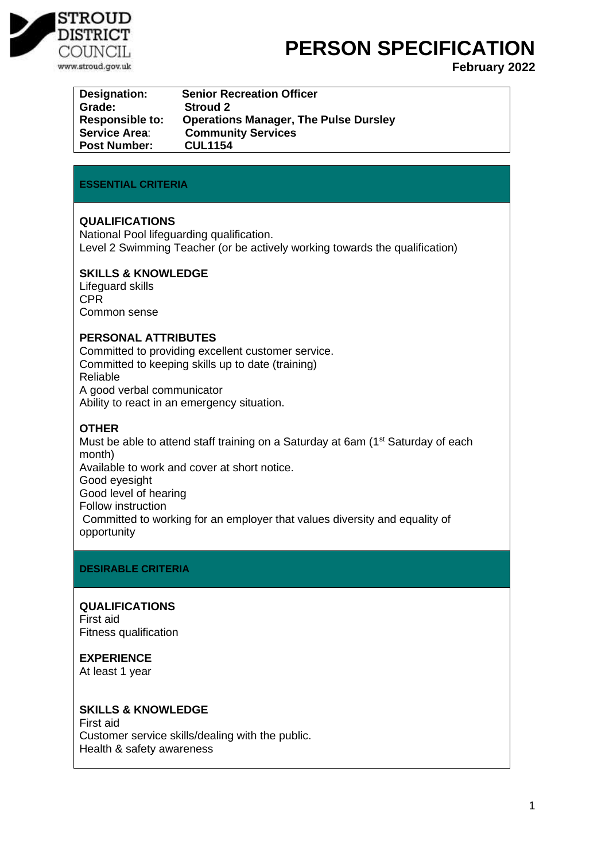

# **PERSON SPECIFICATION**

**February 2022**

| Designation:           | <b>Senior Recreation Officer</b>             |
|------------------------|----------------------------------------------|
| Grade:                 | <b>Stroud 2</b>                              |
| <b>Responsible to:</b> | <b>Operations Manager, The Pulse Dursley</b> |
| <b>Service Area:</b>   | <b>Community Services</b>                    |
| <b>Post Number:</b>    | <b>CUL1154</b>                               |

## **ESSENTIAL CRITERIA**

## **QUALIFICATIONS**

National Pool lifeguarding qualification. Level 2 Swimming Teacher (or be actively working towards the qualification)

## **SKILLS & KNOWLEDGE**

Lifeguard skills CPR Common sense

## **PERSONAL ATTRIBUTES**

Committed to providing excellent customer service. Committed to keeping skills up to date (training) Reliable A good verbal communicator Ability to react in an emergency situation.

# **OTHER**

Must be able to attend staff training on a Saturday at 6am (1<sup>st</sup> Saturday of each month) Available to work and cover at short notice. Good eyesight Good level of hearing Follow instruction Committed to working for an employer that values diversity and equality of opportunity

# **DESIRABLE CRITERIA**

## **QUALIFICATIONS**

First aid Fitness qualification

# **EXPERIENCE**

At least 1 year

## **SKILLS & KNOWLEDGE**

First aid Customer service skills/dealing with the public. Health & safety awareness